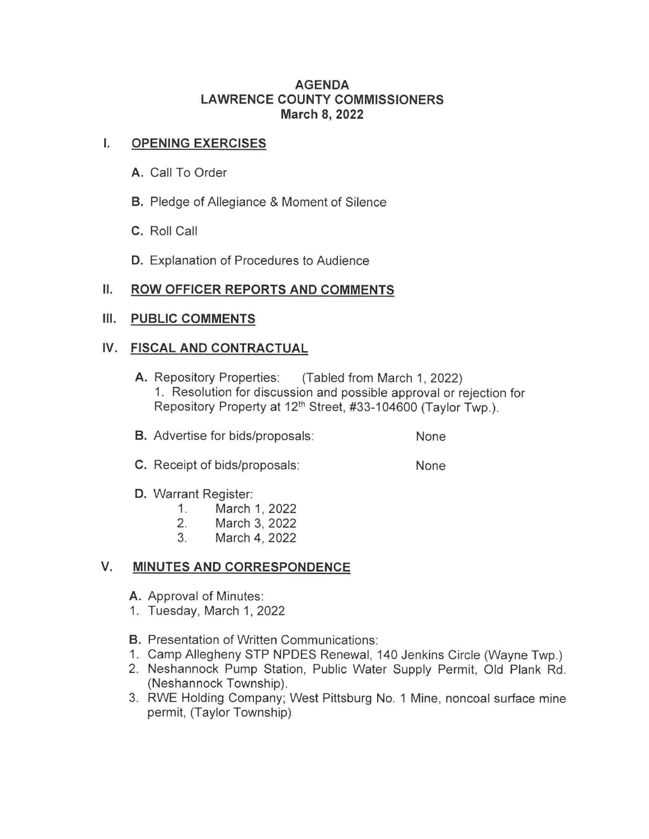### **AGENDA LAWRENCE COUNTY COMMISSIONERS March 8, 2022**

# I. **OPENING EXERCISES**

- **A.** Call To Order
- **B.** Pledge of Allegiance & Moment of Silence
- **C.** Roll Call
- **D.** Explanation of Procedures to Audience

### II. **ROW OFFICER REPORTS AND COMMENTS**

### **Ill. PUBLIC COMMENTS**

### **IV. FISCAL AND CONTRACTUAL**

- **A.** Repository Properties: (Tabled from March 1, 2022) 1. Resolution for discussion and possible approval or rejection for Repository Property at 12<sup>th</sup> Street, #33-104600 (Taylor Twp.).
- **B.** Advertise for bids/proposals: None
- **C.** Receipt of bids/proposals: None
- **D.** Warrant Register:
	- 1. March 1, 2022
	- 2. March 3, 2022
	- 3. March 4, 2022

### **V. MINUTES AND CORRESPONDENCE**

- **A.** Approval of Minutes:
- 1. Tuesday, March 1, 2022
- **B.** Presentation of Written Communications:
- 1. Camp Allegheny STP NPDES Renewal, 140 Jenkins Circle (Wayne Twp.)
- 2. Neshannock Pump Station, Public Water Supply Permit, Old Plank Rd. (Neshannock Township).
- 3. RWE Holding Company; West Pittsburg No. 1 Mine, noncoal surface mine permit, (Taylor Township)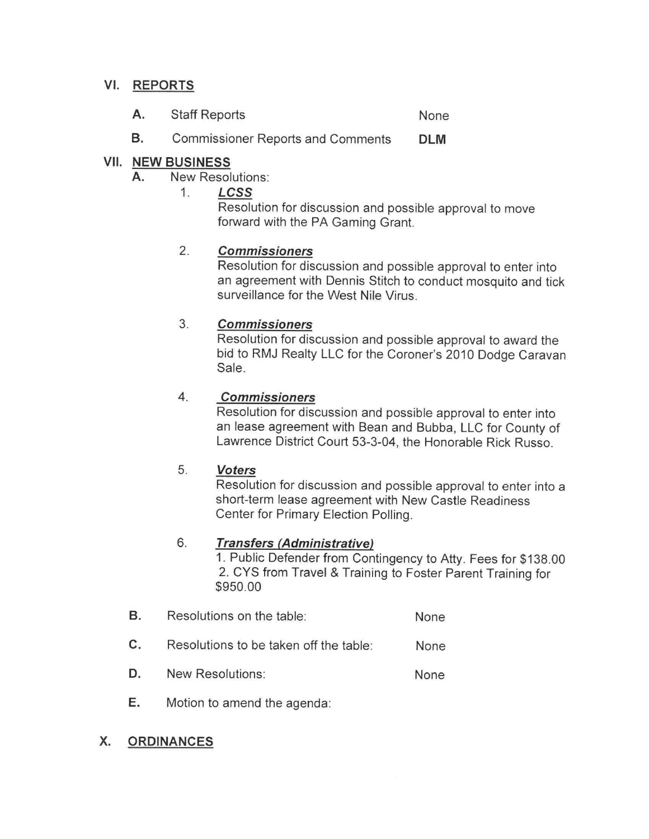# **VI. REPORTS**

- **A.**  Staff Reports None
- **B.**  Commissioner Reports and Comments **OLM**

# **VII. NEW BUSINESS**

- **A.** New Resolutions:
	- 1. **LCSS**

Resolution for discussion and possible approval to move forward with the PA Gaming Grant.

#### 2. **Commissioners**

Resolution for discussion and possible approval to enter into an agreement with Dennis Stitch to conduct mosquito and tick surveillance for the West Nile Virus.

#### 3. **Commissioners**

Resolution for discussion and possible approval to award the bid to RMJ Realty LLC for the Coroner's 2010 Dodge Caravan Sale.

#### 4. **Commissioners**

Resolution for discussion and possible approval to enter into an lease agreement with Bean and Bubba, LLC for County of Lawrence District Court 53-3-04, the Honorable Rick Russo.

#### 5. **Voters**

Resolution for discussion and possible approval to enter into a short-term lease agreement with New Castle Readiness Center for Primary Election Polling.

#### 6. **Transfers (Administrative)**

1. Public Defender from Contingency to Atty. Fees for \$138.00 2. CYS from Travel & Training to Foster Parent Training for \$950.00

- **B.**  Resolutions on the table: None
- **C.**  None Resolutions to be taken off the table:
- **D.**  None New Resolutions:
- **E.** Motion to amend the agenda:

# **X. ORDINANCES**